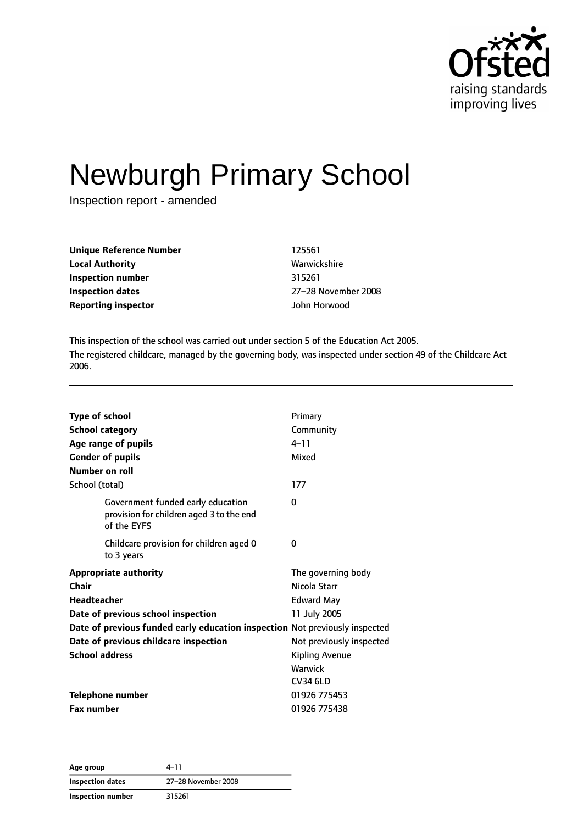

# Newburgh Primary School

Inspection report - amended

| Unique Reference Number    | 125561              |
|----------------------------|---------------------|
| <b>Local Authority</b>     | Warwickshire        |
| Inspection number          | 315261              |
| <b>Inspection dates</b>    | 27-28 November 2008 |
| <b>Reporting inspector</b> | John Horwood        |

This inspection of the school was carried out under section 5 of the Education Act 2005. The registered childcare, managed by the governing body, was inspected under section 49 of the Childcare Act 2006.

| <b>Type of school</b>                                                                        | Primary                  |
|----------------------------------------------------------------------------------------------|--------------------------|
| <b>School category</b>                                                                       | Community                |
| Age range of pupils                                                                          | $4 - 11$                 |
| <b>Gender of pupils</b>                                                                      | Mixed                    |
| Number on roll                                                                               |                          |
| School (total)                                                                               | 177                      |
| Government funded early education<br>provision for children aged 3 to the end<br>of the EYFS | 0                        |
| Childcare provision for children aged 0<br>to 3 years                                        | 0                        |
| <b>Appropriate authority</b>                                                                 | The governing body       |
| Chair                                                                                        | Nicola Starr             |
| <b>Headteacher</b>                                                                           | <b>Edward May</b>        |
| Date of previous school inspection                                                           | 11 July 2005             |
| Date of previous funded early education inspection Not previously inspected                  |                          |
| Date of previous childcare inspection                                                        | Not previously inspected |
| <b>School address</b>                                                                        | <b>Kipling Avenue</b>    |
|                                                                                              | Warwick                  |
|                                                                                              | <b>CV34 6LD</b>          |
| <b>Telephone number</b>                                                                      | 01926 775453             |
| <b>Fax number</b>                                                                            | 01926 775438             |

**Age group** 4–11 **Inspection dates** 27–28 November 2008 **Inspection number** 315261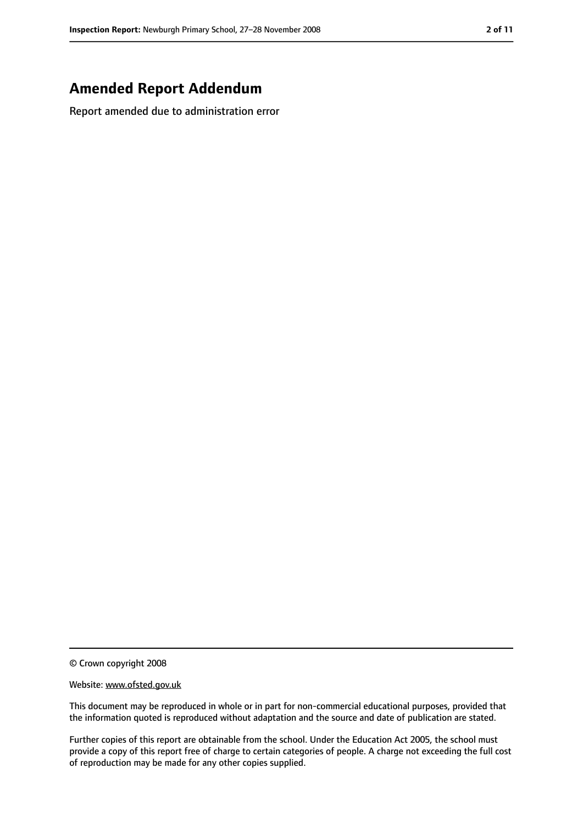## **Amended Report Addendum**

Report amended due to administration error

© Crown copyright 2008

Website: www.ofsted.gov.uk

This document may be reproduced in whole or in part for non-commercial educational purposes, provided that the information quoted is reproduced without adaptation and the source and date of publication are stated.

Further copies of this report are obtainable from the school. Under the Education Act 2005, the school must provide a copy of this report free of charge to certain categories of people. A charge not exceeding the full cost of reproduction may be made for any other copies supplied.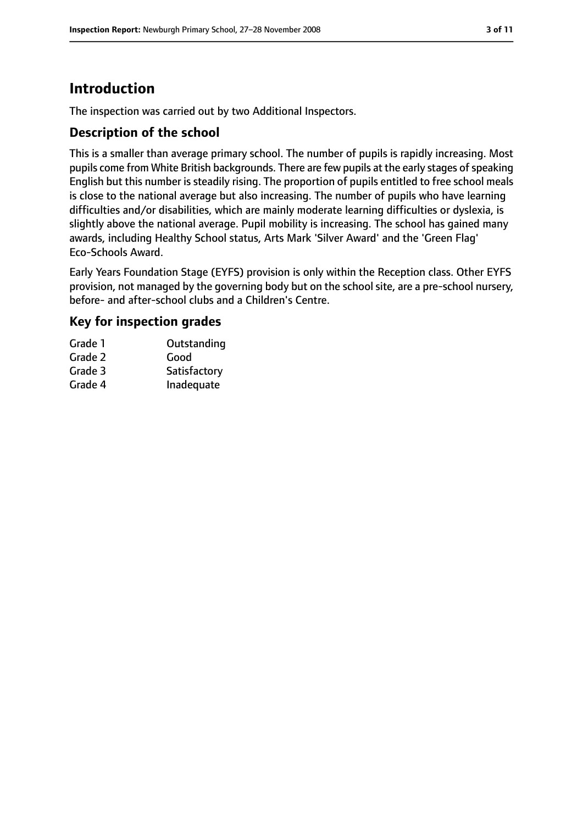# **Introduction**

The inspection was carried out by two Additional Inspectors.

#### **Description of the school**

This is a smaller than average primary school. The number of pupils is rapidly increasing. Most pupils come from White British backgrounds. There are few pupils at the early stages of speaking English but this number is steadily rising. The proportion of pupils entitled to free school meals is close to the national average but also increasing. The number of pupils who have learning difficulties and/or disabilities, which are mainly moderate learning difficulties or dyslexia, is slightly above the national average. Pupil mobility is increasing. The school has gained many awards, including Healthy School status, Arts Mark 'Silver Award' and the 'Green Flag' Eco-Schools Award.

Early Years Foundation Stage (EYFS) provision is only within the Reception class. Other EYFS provision, not managed by the governing body but on the school site, are a pre-school nursery, before- and after-school clubs and a Children's Centre.

#### **Key for inspection grades**

| Grade 1 | Outstanding  |
|---------|--------------|
| Grade 2 | Good         |
| Grade 3 | Satisfactory |
| Grade 4 | Inadequate   |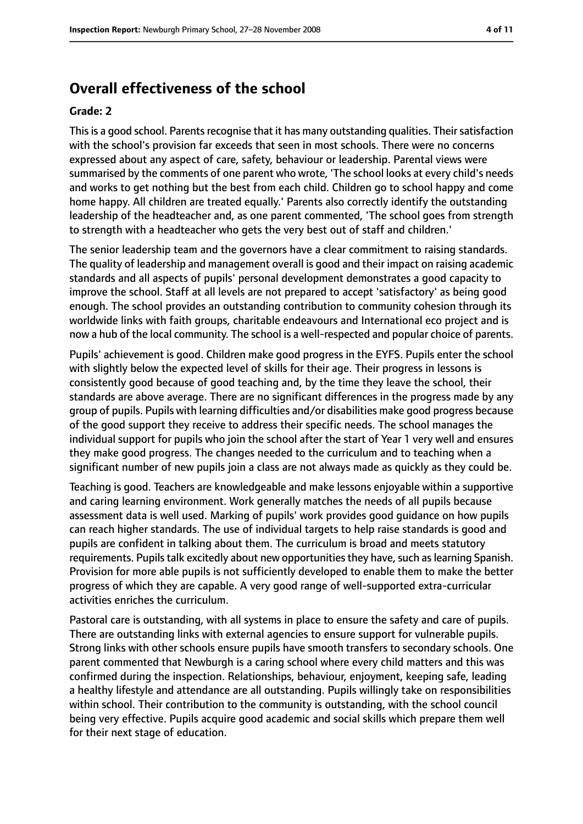#### **Overall effectiveness of the school**

#### **Grade: 2**

This is a good school. Parents recognise that it has many outstanding qualities. Their satisfaction with the school's provision far exceeds that seen in most schools. There were no concerns expressed about any aspect of care, safety, behaviour or leadership. Parental views were summarised by the comments of one parent who wrote, 'The school looks at every child's needs and works to get nothing but the best from each child. Children go to school happy and come home happy. All children are treated equally.' Parents also correctly identify the outstanding leadership of the headteacher and, as one parent commented, 'The school goes from strength to strength with a headteacher who gets the very best out of staff and children.'

The senior leadership team and the governors have a clear commitment to raising standards. The quality of leadership and management overall is good and their impact on raising academic standards and all aspects of pupils' personal development demonstrates a good capacity to improve the school. Staff at all levels are not prepared to accept 'satisfactory' as being good enough. The school provides an outstanding contribution to community cohesion through its worldwide links with faith groups, charitable endeavours and International eco project and is now a hub of the local community. The school is a well-respected and popular choice of parents.

Pupils' achievement is good. Children make good progress in the EYFS. Pupils enter the school with slightly below the expected level of skills for their age. Their progress in lessons is consistently good because of good teaching and, by the time they leave the school, their standards are above average. There are no significant differences in the progress made by any group of pupils. Pupils with learning difficulties and/or disabilities make good progress because of the good support they receive to address their specific needs. The school manages the individual support for pupils who join the school after the start of Year 1 very well and ensures they make good progress. The changes needed to the curriculum and to teaching when a significant number of new pupils join a class are not always made as quickly as they could be.

Teaching is good. Teachers are knowledgeable and make lessons enjoyable within a supportive and caring learning environment. Work generally matches the needs of all pupils because assessment data is well used. Marking of pupils' work provides good guidance on how pupils can reach higher standards. The use of individual targets to help raise standards is good and pupils are confident in talking about them. The curriculum is broad and meets statutory requirements. Pupils talk excitedly about new opportunities they have, such as learning Spanish. Provision for more able pupils is not sufficiently developed to enable them to make the better progress of which they are capable. A very good range of well-supported extra-curricular activities enriches the curriculum.

Pastoral care is outstanding, with all systems in place to ensure the safety and care of pupils. There are outstanding links with external agencies to ensure support for vulnerable pupils. Strong links with other schools ensure pupils have smooth transfers to secondary schools. One parent commented that Newburgh is a caring school where every child matters and this was confirmed during the inspection. Relationships, behaviour, enjoyment, keeping safe, leading a healthy lifestyle and attendance are all outstanding. Pupils willingly take on responsibilities within school. Their contribution to the community is outstanding, with the school council being very effective. Pupils acquire good academic and social skills which prepare them well for their next stage of education.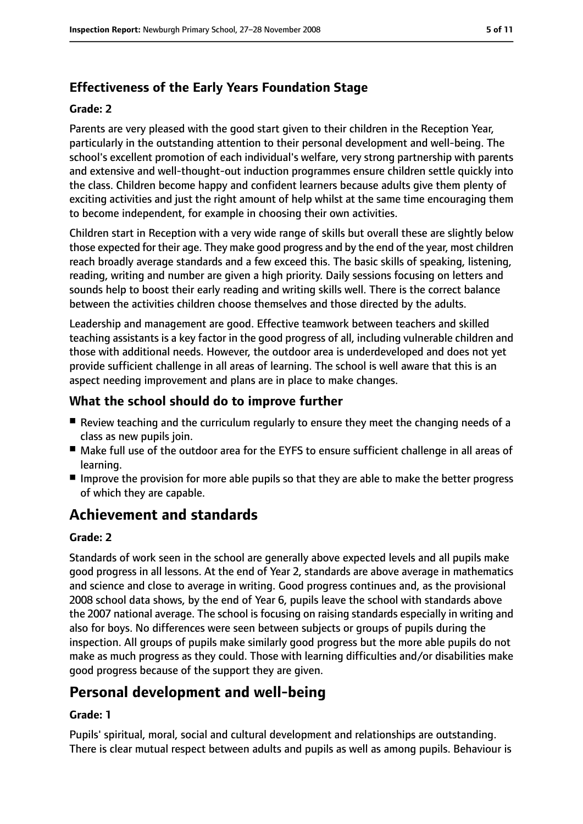## **Effectiveness of the Early Years Foundation Stage**

#### **Grade: 2**

Parents are very pleased with the good start given to their children in the Reception Year, particularly in the outstanding attention to their personal development and well-being. The school's excellent promotion of each individual's welfare, very strong partnership with parents and extensive and well-thought-out induction programmes ensure children settle quickly into the class. Children become happy and confident learners because adults give them plenty of exciting activities and just the right amount of help whilst at the same time encouraging them to become independent, for example in choosing their own activities.

Children start in Reception with a very wide range of skills but overall these are slightly below those expected for their age. They make good progress and by the end of the year, most children reach broadly average standards and a few exceed this. The basic skills of speaking, listening, reading, writing and number are given a high priority. Daily sessions focusing on letters and sounds help to boost their early reading and writing skills well. There is the correct balance between the activities children choose themselves and those directed by the adults.

Leadership and management are good. Effective teamwork between teachers and skilled teaching assistants is a key factor in the good progress of all, including vulnerable children and those with additional needs. However, the outdoor area is underdeveloped and does not yet provide sufficient challenge in all areas of learning. The school is well aware that this is an aspect needing improvement and plans are in place to make changes.

#### **What the school should do to improve further**

- Review teaching and the curriculum regularly to ensure they meet the changing needs of a class as new pupils join.
- Make full use of the outdoor area for the EYFS to ensure sufficient challenge in all areas of learning.
- Improve the provision for more able pupils so that they are able to make the better progress of which they are capable.

# **Achievement and standards**

#### **Grade: 2**

Standards of work seen in the school are generally above expected levels and all pupils make good progress in all lessons. At the end of Year 2, standards are above average in mathematics and science and close to average in writing. Good progress continues and, as the provisional 2008 school data shows, by the end of Year 6, pupils leave the school with standards above the 2007 national average. The school is focusing on raising standards especially in writing and also for boys. No differences were seen between subjects or groups of pupils during the inspection. All groups of pupils make similarly good progress but the more able pupils do not make as much progress as they could. Those with learning difficulties and/or disabilities make good progress because of the support they are given.

# **Personal development and well-being**

#### **Grade: 1**

Pupils' spiritual, moral, social and cultural development and relationships are outstanding. There is clear mutual respect between adults and pupils as well as among pupils. Behaviour is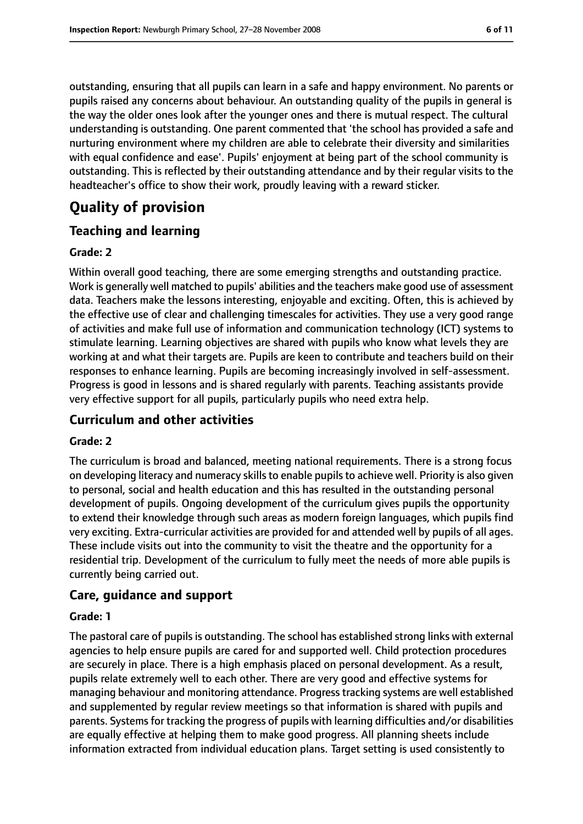outstanding, ensuring that all pupils can learn in a safe and happy environment. No parents or pupils raised any concerns about behaviour. An outstanding quality of the pupils in general is the way the older ones look after the younger ones and there is mutual respect. The cultural understanding is outstanding. One parent commented that 'the school has provided a safe and nurturing environment where my children are able to celebrate their diversity and similarities with equal confidence and ease'. Pupils' enjoyment at being part of the school community is outstanding. This is reflected by their outstanding attendance and by their regular visits to the headteacher's office to show their work, proudly leaving with a reward sticker.

## **Quality of provision**

#### **Teaching and learning**

#### **Grade: 2**

Within overall good teaching, there are some emerging strengths and outstanding practice. Work is generally well matched to pupils' abilities and the teachers make good use of assessment data. Teachers make the lessons interesting, enjoyable and exciting. Often, this is achieved by the effective use of clear and challenging timescales for activities. They use a very good range of activities and make full use of information and communication technology (ICT) systems to stimulate learning. Learning objectives are shared with pupils who know what levels they are working at and what their targets are. Pupils are keen to contribute and teachers build on their responses to enhance learning. Pupils are becoming increasingly involved in self-assessment. Progress is good in lessons and is shared regularly with parents. Teaching assistants provide very effective support for all pupils, particularly pupils who need extra help.

#### **Curriculum and other activities**

#### **Grade: 2**

The curriculum is broad and balanced, meeting national requirements. There is a strong focus on developing literacy and numeracy skills to enable pupils to achieve well. Priority is also given to personal, social and health education and this has resulted in the outstanding personal development of pupils. Ongoing development of the curriculum gives pupils the opportunity to extend their knowledge through such areas as modern foreign languages, which pupils find very exciting. Extra-curricular activities are provided for and attended well by pupils of all ages. These include visits out into the community to visit the theatre and the opportunity for a residential trip. Development of the curriculum to fully meet the needs of more able pupils is currently being carried out.

#### **Care, guidance and support**

#### **Grade: 1**

The pastoral care of pupils is outstanding. The school has established strong links with external agencies to help ensure pupils are cared for and supported well. Child protection procedures are securely in place. There is a high emphasis placed on personal development. As a result, pupils relate extremely well to each other. There are very good and effective systems for managing behaviour and monitoring attendance. Progresstracking systems are well established and supplemented by regular review meetings so that information is shared with pupils and parents. Systems for tracking the progress of pupils with learning difficulties and/or disabilities are equally effective at helping them to make good progress. All planning sheets include information extracted from individual education plans. Target setting is used consistently to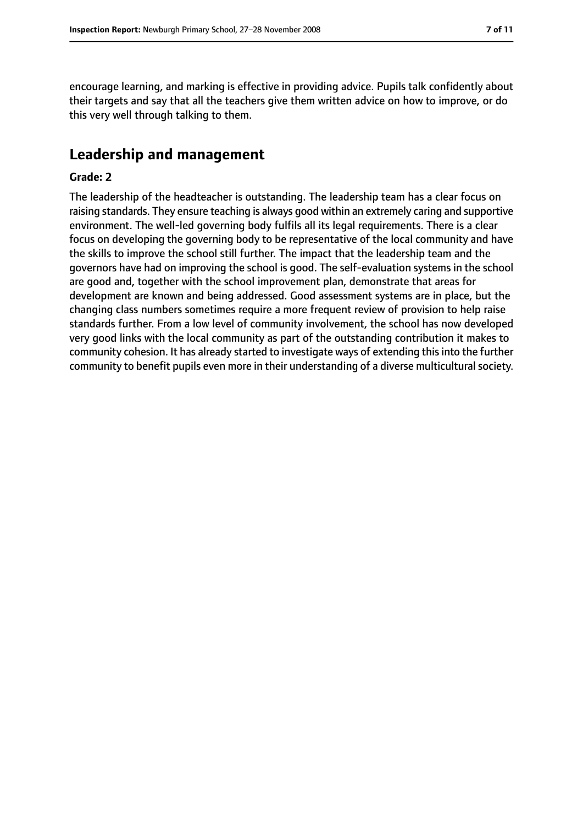encourage learning, and marking is effective in providing advice. Pupils talk confidently about their targets and say that all the teachers give them written advice on how to improve, or do this very well through talking to them.

## **Leadership and management**

#### **Grade: 2**

The leadership of the headteacher is outstanding. The leadership team has a clear focus on raising standards. They ensure teaching is always good within an extremely caring and supportive environment. The well-led governing body fulfils all its legal requirements. There is a clear focus on developing the governing body to be representative of the local community and have the skills to improve the school still further. The impact that the leadership team and the governors have had on improving the school is good. The self-evaluation systems in the school are good and, together with the school improvement plan, demonstrate that areas for development are known and being addressed. Good assessment systems are in place, but the changing class numbers sometimes require a more frequent review of provision to help raise standards further. From a low level of community involvement, the school has now developed very good links with the local community as part of the outstanding contribution it makes to community cohesion. It has already started to investigate ways of extending thisinto the further community to benefit pupils even more in their understanding of a diverse multicultural society.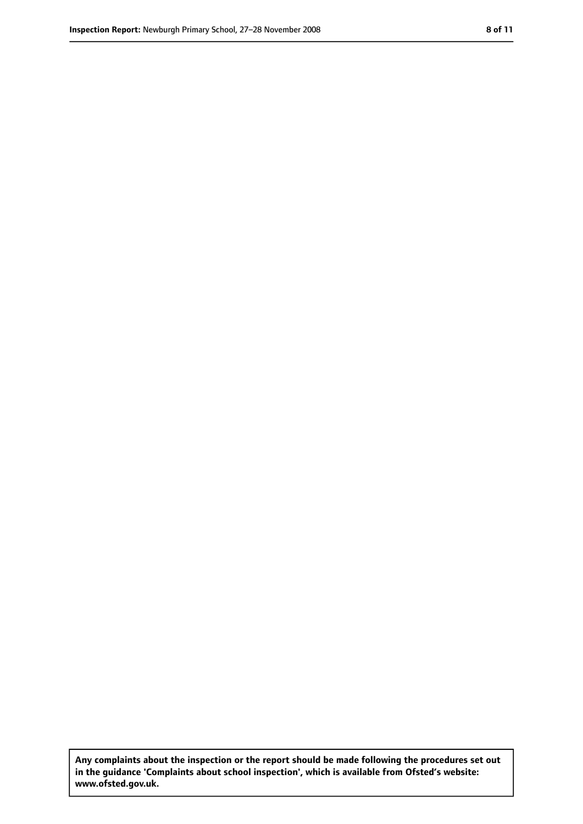**Any complaints about the inspection or the report should be made following the procedures set out in the guidance 'Complaints about school inspection', which is available from Ofsted's website: www.ofsted.gov.uk.**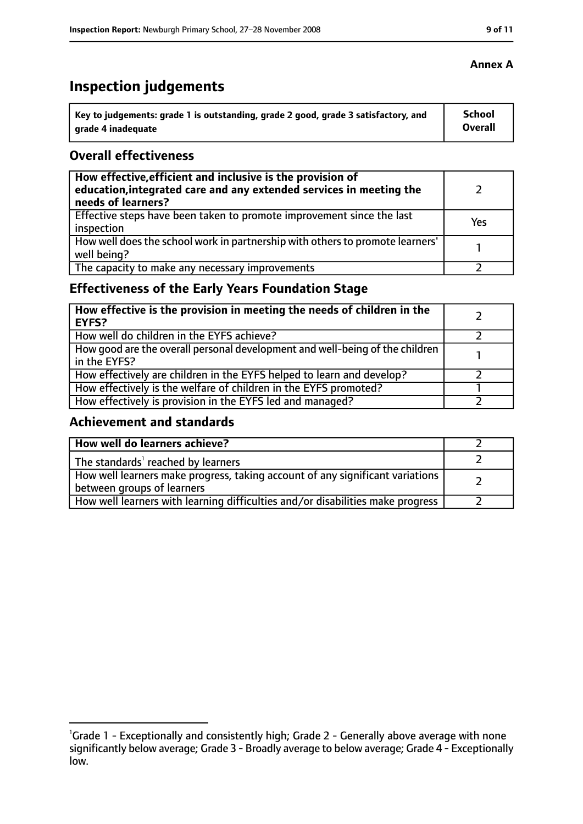# **Inspection judgements**

| Key to judgements: grade 1 is outstanding, grade 2 good, grade 3 satisfactory, and | <b>School</b>  |
|------------------------------------------------------------------------------------|----------------|
| arade 4 inadequate                                                                 | <b>Overall</b> |

#### **Overall effectiveness**

| How effective, efficient and inclusive is the provision of<br>education, integrated care and any extended services in meeting the<br>needs of learners? |     |
|---------------------------------------------------------------------------------------------------------------------------------------------------------|-----|
| Effective steps have been taken to promote improvement since the last<br>inspection                                                                     | Yes |
| How well does the school work in partnership with others to promote learners'<br>well being?                                                            |     |
| The capacity to make any necessary improvements                                                                                                         |     |

## **Effectiveness of the Early Years Foundation Stage**

| How effective is the provision in meeting the needs of children in the<br><b>EYFS?</b>       |  |
|----------------------------------------------------------------------------------------------|--|
| How well do children in the EYFS achieve?                                                    |  |
| How good are the overall personal development and well-being of the children<br>in the EYFS? |  |
| How effectively are children in the EYFS helped to learn and develop?                        |  |
| How effectively is the welfare of children in the EYFS promoted?                             |  |
| How effectively is provision in the EYFS led and managed?                                    |  |

#### **Achievement and standards**

| How well do learners achieve?                                                                               |  |
|-------------------------------------------------------------------------------------------------------------|--|
| The standards <sup>1</sup> reached by learners                                                              |  |
| How well learners make progress, taking account of any significant variations<br>between groups of learners |  |
| How well learners with learning difficulties and/or disabilities make progress                              |  |

<sup>&</sup>lt;sup>1</sup>Grade 1 - Exceptionally and consistently high; Grade 2 - Generally above average with none significantly below average; Grade 3 - Broadly average to below average; Grade 4 - Exceptionally low.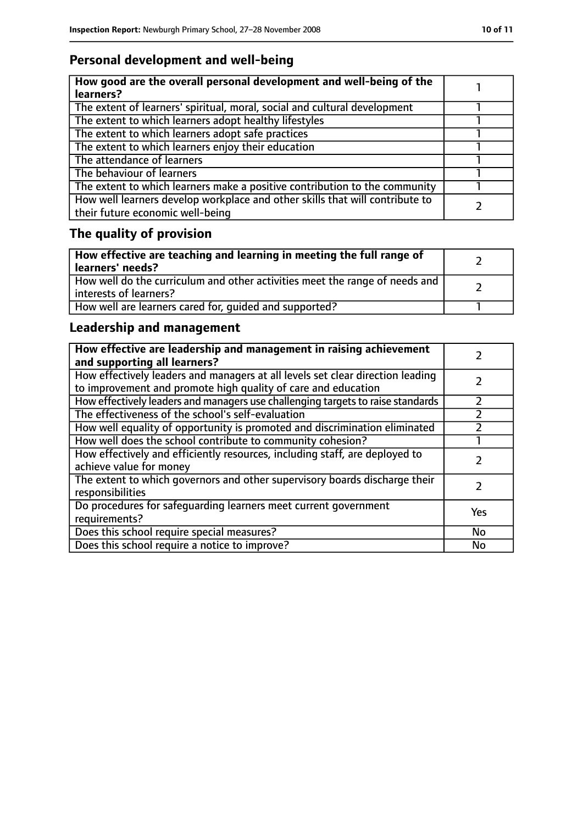# **Personal development and well-being**

| How good are the overall personal development and well-being of the<br>learners?                                 |  |
|------------------------------------------------------------------------------------------------------------------|--|
| The extent of learners' spiritual, moral, social and cultural development                                        |  |
| The extent to which learners adopt healthy lifestyles                                                            |  |
| The extent to which learners adopt safe practices                                                                |  |
| The extent to which learners enjoy their education                                                               |  |
| The attendance of learners                                                                                       |  |
| The behaviour of learners                                                                                        |  |
| The extent to which learners make a positive contribution to the community                                       |  |
| How well learners develop workplace and other skills that will contribute to<br>their future economic well-being |  |

# **The quality of provision**

| How effective are teaching and learning in meeting the full range of<br>learners' needs?              |  |
|-------------------------------------------------------------------------------------------------------|--|
| How well do the curriculum and other activities meet the range of needs and<br>interests of learners? |  |
| How well are learners cared for, quided and supported?                                                |  |

## **Leadership and management**

| How effective are leadership and management in raising achievement<br>and supporting all learners?                                              |     |
|-------------------------------------------------------------------------------------------------------------------------------------------------|-----|
| How effectively leaders and managers at all levels set clear direction leading<br>to improvement and promote high quality of care and education |     |
| How effectively leaders and managers use challenging targets to raise standards                                                                 |     |
| The effectiveness of the school's self-evaluation                                                                                               |     |
| How well equality of opportunity is promoted and discrimination eliminated                                                                      |     |
| How well does the school contribute to community cohesion?                                                                                      |     |
| How effectively and efficiently resources, including staff, are deployed to<br>achieve value for money                                          |     |
| The extent to which governors and other supervisory boards discharge their<br>responsibilities                                                  |     |
| Do procedures for safeguarding learners meet current government<br>requirements?                                                                | Yes |
| Does this school require special measures?                                                                                                      | No  |
| Does this school require a notice to improve?                                                                                                   | No  |